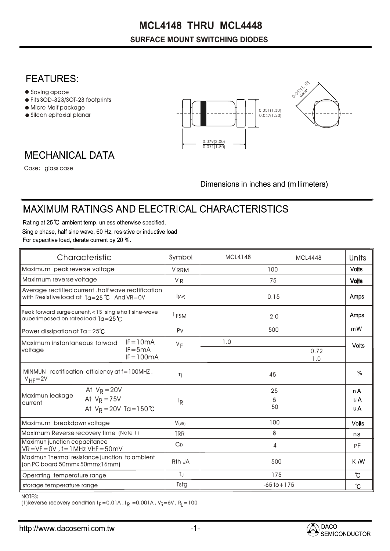# **MCL4148 THRU MCL4448**

#### **SURFACE MOUNT SWITCHING DIODES**

### **FEATURES:**

- $\bullet$  Saving apace
- Fits SOD-323/SOT-23 footprints
- Micro Melf package
- Silcon epitaxial planar





## **MECHANICAL DATA**

Case: glass case

Dimensions in inches and (millimeters)

## MAXIMUM RATINGS AND ELECTRICAL CHARACTERISTICS

Rating at 25 °C ambient temp. unless otherwise specified. Single phase, half sine wave, 60 Hz, resistive or inductive load. For capacitive load, derate current by 20 %.

| Characteristic                                                                                            |  |                                           | Symbol             | <b>MCL4148</b>  | <b>MCL4448</b>    | Units         |  |
|-----------------------------------------------------------------------------------------------------------|--|-------------------------------------------|--------------------|-----------------|-------------------|---------------|--|
| Maximum peak reverse voltage                                                                              |  |                                           | <b>VRRM</b>        | 100             |                   | <b>Volts</b>  |  |
| Maximum reverse voltage                                                                                   |  |                                           | <b>VR</b>          | 75              |                   | <b>Volts</b>  |  |
| Average rectified current .half wave rectification<br>with Resistive load at $Ta = 25^{\circ}C$ And VR=0V |  |                                           | (AV)               | 0.15            |                   | Amps          |  |
| Peak forward surge current, <1\$ single half sine-wave<br>auperimposed on rated load $Ta = 25^{\circ}C$   |  |                                           | <sup>I</sup> FSM   | 2.0             |                   | <b>Amps</b>   |  |
| Power dissipation at $Ta = 25^{\circ}C$                                                                   |  |                                           | P <sub>V</sub>     | 500             |                   | mW            |  |
| Maximum instantaneous forward<br>voltage                                                                  |  | $IF = 10mA$<br>$IF = 5mA$<br>$IF = 100mA$ | $V_F$              | 1.0             |                   | <b>Volts</b>  |  |
|                                                                                                           |  |                                           |                    |                 | 0.72<br>1.0       |               |  |
| MINMUN rectification efficiency at $f = 100$ MHZ,<br>$V_{HF} = 2V$                                        |  |                                           | $\eta$             | 45              |                   | %             |  |
| At $V_R = 20V$<br>Maximun leakage<br>At $V_R = 75V$<br>current<br>At $V_R = 20V$ Ta = 150 °C              |  | ΙR                                        |                    | 25<br>5<br>50   | n A<br>u A<br>u A |               |  |
| Maximum breakdpwn voltage                                                                                 |  |                                           | V(BR)              | 100             |                   | <b>Volts</b>  |  |
| Maximum Reverse recovery time (Note 1)                                                                    |  |                                           | <b>TRR</b>         | 8               |                   | ns            |  |
| Maximun junction capacitance<br>$VR = VF = OV$ , $f = 1 MHz$ VHF = 50 mV                                  |  |                                           | $C_{D}$            | 4               |                   | РF            |  |
| Maximun Thermal resistance junction to ambient<br>(on PC board 50mmx 50mmx16mm)                           |  |                                           | R <sub>th</sub> JA | 500             |                   | K M           |  |
| Operating temperature range                                                                               |  |                                           | $T_{\rm J}$        | 175             |                   | $\mathcal{C}$ |  |
| storage temperature range                                                                                 |  |                                           | Tstg               | $-65$ to $+175$ |                   | $\mathcal{C}$ |  |

NOTES:

(1)Reverse recovery condition I $_{\mathsf{F}}$  =0.01A , I $_{\mathsf{R}}$  =0.001A , V $_{\mathsf{R}}$ =6V , R $_{\mathsf{L}}$  =100